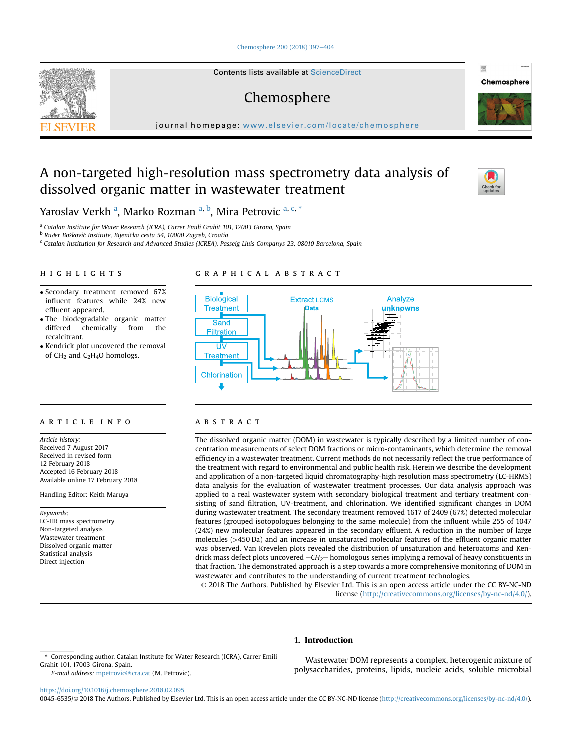[Chemosphere 200 \(2018\) 397](https://doi.org/10.1016/j.chemosphere.2018.02.095)-[404](https://doi.org/10.1016/j.chemosphere.2018.02.095)

Contents lists available at ScienceDirect

# Chemosphere

journal homepage: <www.elsevier.com/locate/chemosphere>

# A non-targeted high-resolution mass spectrometry data analysis of dissolved organic matter in wastewater treatment



骤

Chemosphere

Yaroslav Verkh <sup>a</sup>, Marko Rozman <sup>a, b</sup>, Mira Petrovic <sup>a, c, \*</sup>

<sup>a</sup> Catalan Institute for Water Research (ICRA), Carrer Emili Grahit 101, 17003 Girona, Spain

<sup>b</sup> Ruder Bošković Institute, Bijenička cesta 54, 10000 Zagreb, Croatia

<sup>c</sup> Catalan Institution for Research and Advanced Studies (ICREA), Passeig Lluís Companys 23, 08010 Barcelona, Spain

## HIGHLIGHTS

- Secondary treatment removed 67% influent features while 24% new effluent appeared.
- The biodegradable organic matter<br>differed chemically from the differed chemically recalcitrant.
- Kendrick plot uncovered the removal of CH<sub>2</sub> and C<sub>2</sub>H<sub>4</sub>O homologs.

# GRAPHICAL ABSTRACT



#### ARTICLE INFO

Article history: Received 7 August 2017 Received in revised form 12 February 2018 Accepted 16 February 2018 Available online 17 February 2018

Handling Editor: Keith Maruya

#### Keywords:

LC-HR mass spectrometry Non-targeted analysis Wastewater treatment Dissolved organic matter Statistical analysis Direct injection

#### **ABSTRACT**

The dissolved organic matter (DOM) in wastewater is typically described by a limited number of concentration measurements of select DOM fractions or micro-contaminants, which determine the removal efficiency in a wastewater treatment. Current methods do not necessarily reflect the true performance of the treatment with regard to environmental and public health risk. Herein we describe the development and application of a non-targeted liquid chromatography-high resolution mass spectrometry (LC-HRMS) data analysis for the evaluation of wastewater treatment processes. Our data analysis approach was applied to a real wastewater system with secondary biological treatment and tertiary treatment consisting of sand filtration, UV-treatment, and chlorination. We identified significant changes in DOM during wastewater treatment. The secondary treatment removed 1617 of 2409 (67%) detected molecular features (grouped isotopologues belonging to the same molecule) from the influent while 255 of 1047 (24%) new molecular features appeared in the secondary effluent. A reduction in the number of large molecules (>450 Da) and an increase in unsaturated molecular features of the effluent organic matter was observed. Van Krevelen plots revealed the distribution of unsaturation and heteroatoms and Kendrick mass defect plots uncovered  $-CH_2$ -homologous series implying a removal of heavy constituents in that fraction. The demonstrated approach is a step towards a more comprehensive monitoring of DOM in wastewater and contributes to the understanding of current treatment technologies.

© 2018 The Authors. Published by Elsevier Ltd. This is an open access article under the CC BY-NC-ND license [\(http://creativecommons.org/licenses/by-nc-nd/4.0/](http://creativecommons.org/licenses/by-nc-nd/4.0/)).

#### 1. Introduction

E-mail address: [mpetrovic@icra.cat](mailto:mpetrovic@icra.cat) (M. Petrovic).

Wastewater DOM represents a complex, heterogenic mixture of polysaccharides, proteins, lipids, nucleic acids, soluble microbial

<https://doi.org/10.1016/j.chemosphere.2018.02.095>

0045-6535/© 2018 The Authors. Published by Elsevier Ltd. This is an open access article under the CC BY-NC-ND license ([http://creativecommons.org/licenses/by-nc-nd/4.0/\)](http://creativecommons.org/licenses/by-nc-nd/4.0/).



Corresponding author. Catalan Institute for Water Research (ICRA), Carrer Emili Grahit 101, 17003 Girona, Spain.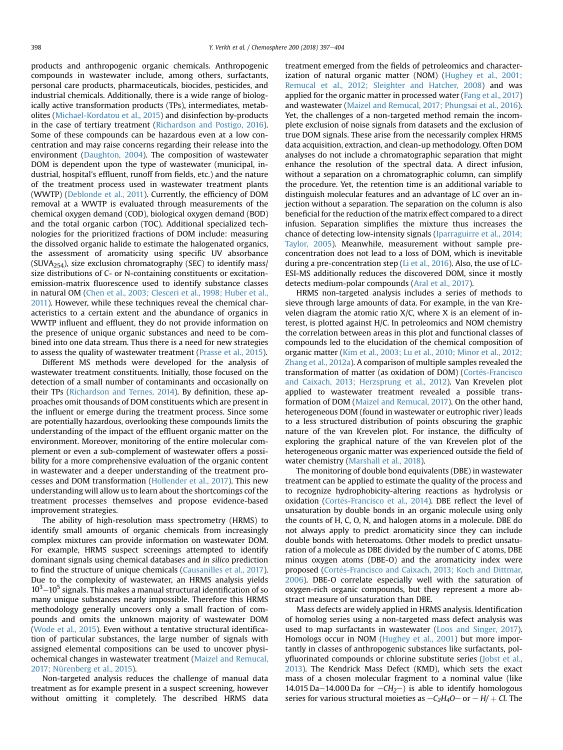products and anthropogenic organic chemicals. Anthropogenic compounds in wastewater include, among others, surfactants, personal care products, pharmaceuticals, biocides, pesticides, and industrial chemicals. Additionally, there is a wide range of biologically active transformation products (TPs), intermediates, metabolites ([Michael-Kordatou et al., 2015\)](#page-7-0) and disinfection by-products in the case of tertiary treatment [\(Richardson and Postigo, 2016\)](#page-7-0). Some of these compounds can be hazardous even at a low concentration and may raise concerns regarding their release into the environment ([Daughton, 2004](#page-6-0)). The composition of wastewater DOM is dependent upon the type of wastewater (municipal, industrial, hospital's effluent, runoff from fields, etc.) and the nature of the treatment process used in wastewater treatment plants (WWTP) ([Deblonde et al., 2011](#page-6-0)). Currently, the efficiency of DOM removal at a WWTP is evaluated through measurements of the chemical oxygen demand (COD), biological oxygen demand (BOD) and the total organic carbon (TOC). Additional specialized technologies for the prioritized fractions of DOM include: measuring the dissolved organic halide to estimate the halogenated organics, the assessment of aromaticity using specific UV absorbance (SUVA<sub>254</sub>), size exclusion chromatography (SEC) to identify mass/ size distributions of C- or N-containing constituents or excitationemission-matrix fluorescence used to identify substance classes in natural OM [\(Chen et al., 2003; Clesceri et al., 1998; Huber et al.,](#page-6-0) [2011\)](#page-6-0). However, while these techniques reveal the chemical characteristics to a certain extent and the abundance of organics in WWTP influent and effluent, they do not provide information on the presence of unique organic substances and need to be combined into one data stream. Thus there is a need for new strategies to assess the quality of wastewater treatment ([Prasse et al., 2015](#page-7-0)).

Different MS methods were developed for the analysis of wastewater treatment constituents. Initially, those focused on the detection of a small number of contaminants and occasionally on their TPs ([Richardson and Ternes, 2014\)](#page-7-0). By definition, these approaches omit thousands of DOM constituents which are present in the influent or emerge during the treatment process. Since some are potentially hazardous, overlooking these compounds limits the understanding of the impact of the effluent organic matter on the environment. Moreover, monitoring of the entire molecular complement or even a sub-complement of wastewater offers a possibility for a more comprehensive evaluation of the organic content in wastewater and a deeper understanding of the treatment processes and DOM transformation [\(Hollender et al., 2017\)](#page-6-0). This new understanding will allow us to learn about the shortcomings cof the treatment processes themselves and propose evidence-based improvement strategies.

The ability of high-resolution mass spectrometry (HRMS) to identify small amounts of organic chemicals from increasingly complex mixtures can provide information on wastewater DOM. For example, HRMS suspect screenings attempted to identify dominant signals using chemical databases and in silico prediction to find the structure of unique chemicals ([Causanilles et al., 2017\)](#page-6-0). Due to the complexity of wastewater, an HRMS analysis yields  $10^3 - 10^5$  signals. This makes a manual structural identification of so many unique substances nearly impossible. Therefore this HRMS methodology generally uncovers only a small fraction of compounds and omits the unknown majority of wastewater DOM ([Wode et al., 2015\)](#page-7-0). Even without a tentative structural identification of particular substances, the large number of signals with assigned elemental compositions can be used to uncover physiochemical changes in wastewater treatment ([Maizel and Remucal,](#page-7-0) [2017; Nürenberg et al., 2015\)](#page-7-0).

Non-targeted analysis reduces the challenge of manual data treatment as for example present in a suspect screening, however without omitting it completely. The described HRMS data treatment emerged from the fields of petroleomics and characterization of natural organic matter (NOM) ([Hughey et al., 2001;](#page-6-0) [Remucal et al., 2012; Sleighter and Hatcher, 2008\)](#page-6-0) and was applied for the organic matter in processed water ([Fang et al., 2017\)](#page-6-0) and wastewater [\(Maizel and Remucal, 2017; Phungsai et al., 2016\)](#page-7-0). Yet, the challenges of a non-targeted method remain the incomplete exclusion of noise signals from datasets and the exclusion of true DOM signals. These arise from the necessarily complex HRMS data acquisition, extraction, and clean-up methodology. Often DOM analyses do not include a chromatographic separation that might enhance the resolution of the spectral data. A direct infusion, without a separation on a chromatographic column, can simplify the procedure. Yet, the retention time is an additional variable to distinguish molecular features and an advantage of LC over an injection without a separation. The separation on the column is also beneficial for the reduction of the matrix effect compared to a direct infusion. Separation simplifies the mixture thus increases the chance of detecting low-intensity signals ([Iparraguirre et al., 2014;](#page-6-0) [Taylor, 2005](#page-6-0)). Meanwhile, measurement without sample preconcentration does not lead to a loss of DOM, which is inevitable during a pre-concentration step [\(Li et al., 2016\)](#page-7-0). Also, the use of LC-ESI-MS additionally reduces the discovered DOM, since it mostly detects medium-polar compounds [\(Aral et al., 2017\)](#page-6-0).

HRMS non-targeted analysis includes a series of methods to sieve through large amounts of data. For example, in the van Krevelen diagram the atomic ratio  $X/C$ , where X is an element of interest, is plotted against H/C. In petroleomics and NOM chemistry the correlation between areas in this plot and functional classes of compounds led to the elucidation of the chemical composition of organic matter ([Kim et al., 2003; Lu et al., 2010; Minor et al., 2012;](#page-6-0) [Zhang et al., 2012a\)](#page-6-0). A comparison of multiple samples revealed the transformation of matter (as oxidation of DOM) (Cortés-Francisco [and Caixach, 2013; Herzsprung et al., 2012\)](#page-6-0). Van Krevelen plot applied to wastewater treatment revealed a possible transformation of DOM [\(Maizel and Remucal, 2017](#page-7-0)). On the other hand, heterogeneous DOM (found in wastewater or eutrophic river) leads to a less structured distribution of points obscuring the graphic nature of the van Krevelen plot. For instance, the difficulty of exploring the graphical nature of the van Krevelen plot of the heterogeneous organic matter was experienced outside the field of water chemistry [\(Marshall et al., 2018](#page-7-0)).

The monitoring of double bond equivalents (DBE) in wastewater treatment can be applied to estimate the quality of the process and to recognize hydrophobicity-altering reactions as hydrolysis or oxidation (Cortés-Francisco et al., 2014). DBE reflect the level of unsaturation by double bonds in an organic molecule using only the counts of H, C, O, N, and halogen atoms in a molecule. DBE do not always apply to predict aromaticity since they can include double bonds with heteroatoms. Other models to predict unsaturation of a molecule as DBE divided by the number of C atoms, DBE minus oxygen atoms (DBE-O) and the aromaticity index were proposed (Cortés-Francisco and Caixach, 2013; Koch and Dittmar, [2006](#page-6-0)). DBE-O correlate especially well with the saturation of oxygen-rich organic compounds, but they represent a more abstract measure of unsaturation than DBE.

Mass defects are widely applied in HRMS analysis. Identification of homolog series using a non-targeted mass defect analysis was used to map surfactants in wastewater [\(Loos and Singer, 2017\)](#page-7-0). Homologs occur in NOM ([Hughey et al., 2001\)](#page-6-0) but more importantly in classes of anthropogenic substances like surfactants, polyfluorinated compounds or chlorine substitute series ([Jobst et al.,](#page-6-0) [2013\)](#page-6-0). The Kendrick Mass Defect (KMD), which sets the exact mass of a chosen molecular fragment to a nominal value (like 14.015 Da-14.000 Da for  $-CH_2$ ) is able to identify homologous series for various structural moieties as  $-C_2H_4O$  – or  $-H$ /  $+$  Cl. The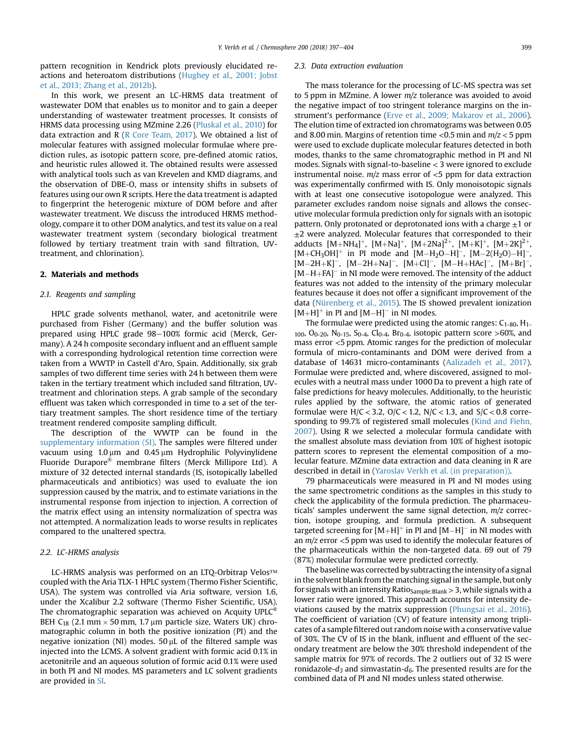pattern recognition in Kendrick plots previously elucidated reactions and heteroatom distributions [\(Hughey et al., 2001; Jobst](#page-6-0) [et al., 2013; Zhang et al., 2012b](#page-6-0)).

In this work, we present an LC-HRMS data treatment of wastewater DOM that enables us to monitor and to gain a deeper understanding of wastewater treatment processes. It consists of HRMS data processing using MZmine 2.26 ([Pluskal et al., 2010\)](#page-7-0) for data extraction and R [\(R Core Team, 2017\)](#page-7-0). We obtained a list of molecular features with assigned molecular formulae where prediction rules, as isotopic pattern score, pre-defined atomic ratios, and heuristic rules allowed it. The obtained results were assessed with analytical tools such as van Krevelen and KMD diagrams, and the observation of DBE-O, mass or intensity shifts in subsets of features using our own R scripts. Here the data treatment is adapted to fingerprint the heterogenic mixture of DOM before and after wastewater treatment. We discuss the introduced HRMS methodology, compare it to other DOM analytics, and test its value on a real wastewater treatment system (secondary biological treatment followed by tertiary treatment train with sand filtration, UVtreatment, and chlorination).

### 2. Materials and methods

## 2.1. Reagents and sampling

HPLC grade solvents methanol, water, and acetonitrile were purchased from Fisher (Germany) and the buffer solution was prepared using HPLC grade 98-100% formic acid (Merck, Germany). A 24 h composite secondary influent and an effluent sample with a corresponding hydrological retention time correction were taken from a WWTP in Castell d'Aro, Spain. Additionally, six grab samples of two different time series with 24 h between them were taken in the tertiary treatment which included sand filtration, UVtreatment and chlorination steps. A grab sample of the secondary effluent was taken which corresponded in time to a set of the tertiary treatment samples. The short residence time of the tertiary treatment rendered composite sampling difficult.

The description of the WWTP can be found in the supplementary information (SI). The samples were filtered under vacuum using  $1.0 \mu m$  and  $0.45 \mu m$  Hydrophilic Polyvinylidene Fluoride Durapore® membrane filters (Merck Millipore Ltd). A mixture of 32 detected internal standards (IS, isotopically labelled pharmaceuticals and antibiotics) was used to evaluate the ion suppression caused by the matrix, and to estimate variations in the instrumental response from injection to injection. A correction of the matrix effect using an intensity normalization of spectra was not attempted. A normalization leads to worse results in replicates compared to the unaltered spectra.

## 2.2. LC-HRMS analysis

LC-HRMS analysis was performed on an LTQ-Orbitrap Velos™ coupled with the Aria TLX-1 HPLC system (Thermo Fisher Scientific, USA). The system was controlled via Aria software, version 1.6, under the Xcalibur 2.2 software (Thermo Fisher Scientific, USA). The chromatographic separation was achieved on Acquity UPLC<sup>®</sup> BEH C<sub>18</sub> (2.1 mm  $\times$  50 mm, 1.7 µm particle size, Waters UK) chromatographic column in both the positive ionization (PI) and the negative ionization (NI) modes.  $50 \mu$ L of the filtered sample was injected into the LCMS. A solvent gradient with formic acid 0.1% in acetonitrile and an aqueous solution of formic acid 0.1% were used in both PI and NI modes. MS parameters and LC solvent gradients are provided in SI.

#### 2.3. Data extraction evaluation

The mass tolerance for the processing of LC-MS spectra was set to 5 ppm in MZmine. A lower  $m/z$  tolerance was avoided to avoid the negative impact of too stringent tolerance margins on the instrument's performance [\(Erve et al., 2009; Makarov et al., 2006\)](#page-6-0). The elution time of extracted ion chromatograms was between 0.05 and 8.00 min. Margins of retention time  $\langle 0.5 \text{ min} \text{ and } m/z \langle 5 \text{ ppm} \rangle$ were used to exclude duplicate molecular features detected in both modes, thanks to the same chromatographic method in PI and NI modes. Signals with signal-to-baseline < 3 were ignored to exclude instrumental noise.  $m/z$  mass error of  $<$ 5 ppm for data extraction was experimentally confirmed with IS. Only monoisotopic signals with at least one consecutive isotopologue were analyzed. This parameter excludes random noise signals and allows the consecutive molecular formula prediction only for signals with an isotopic pattern. Only protonated or deprotonated ions with a charge  $\pm 1$  or  $±2$  were analyzed. Molecular features that corresponded to their adducts  $[M+NH_4]^+$ ,  $[M+Na]^+$ ,  $[M+2Na]^{2+}$ ,  $[M+K]^+$ ,  $[M+2K]^{2+}$  $[M+CH_3OH]$ <sup>+</sup> in PI mode and  $[M-H_2O-H]$ <sup>-</sup>,  $[M-2(H_2O)-H]$ <sup>-</sup>,  $[M-2H+K]^-$ ,  $[M-2H+Na]^-$ ,  $[M+Cl]^-$ ,  $[M-H+HAc]^-$ ,  $[M+Br]^-$ ,  $[M-H+FA]$ <sup>-</sup> in NI mode were removed. The intensity of the adduct features was not added to the intensity of the primary molecular features because it does not offer a significant improvement of the data ([Nürenberg et al., 2015](#page-7-0)). The IS showed prevalent ionization  $[M+H]^{+}$  in PI and  $[M-H]^{-}$  in NI modes.

The formulae were predicted using the atomic ranges:  $C_{1-80}$ ,  $H_{1-80}$  $100, O_{0-20}, N_{0-15}, S_{0-4}, Cl_{0-4}, Br_{0-4}$ , isotopic pattern score >60%, and mass error <5 ppm. Atomic ranges for the prediction of molecular formula of micro-contaminants and DOM were derived from a database of 14631 micro-contaminants [\(Aalizadeh et al., 2017\)](#page-6-0). Formulae were predicted and, where discovered, assigned to molecules with a neutral mass under 1000 Da to prevent a high rate of false predictions for heavy molecules. Additionally, to the heuristic rules applied by the software, the atomic ratios of generated formulae were  $H/C < 3.2$ ,  $O/C < 1.2$ ,  $N/C < 1.3$ , and  $S/C < 0.8$  corresponding to 99.7% of registered small molecules [\(Kind and Fiehn,](#page-7-0) [2007\)](#page-7-0). Using R we selected a molecular formula candidate with the smallest absolute mass deviation from 10% of highest isotopic pattern scores to represent the elemental composition of a molecular feature. MZmine data extraction and data cleaning in R are described in detail in [\(Yaroslav Verkh et al. \(in preparation\)\).](#page-7-0)

79 pharmaceuticals were measured in PI and NI modes using the same spectrometric conditions as the samples in this study to check the applicability of the formula prediction. The pharmaceuticals' samples underwent the same signal detection,  $m/z$  correction, isotope grouping, and formula prediction. A subsequent targeted screening for  $[M+H]^+$  in PI and  $[M-H]^-$  in NI modes with an  $m/z$  error  $<$ 5 ppm was used to identify the molecular features of the pharmaceuticals within the non-targeted data. 69 out of 79 (87%) molecular formulae were predicted correctly.

The baseline was corrected by subtracting the intensity of a signal in the solvent blank from the matching signal in the sample, but only for signals with an intensity Ratio<sub>Sample:Blank</sub> > 3, while signals with a lower ratio were ignored. This approach accounts for intensity deviations caused by the matrix suppression ([Phungsai et al., 2016\)](#page-7-0). The coefficient of variation (CV) of feature intensity among triplicates of a sample filtered out random noise with a conservative value of 30%. The CV of IS in the blank, influent and effluent of the secondary treatment are below the 30% threshold independent of the sample matrix for 97% of records. The 2 outliers out of 32 IS were ronidazole- $d_3$  and simvastatin- $d_6$ . The presented results are for the combined data of PI and NI modes unless stated otherwise.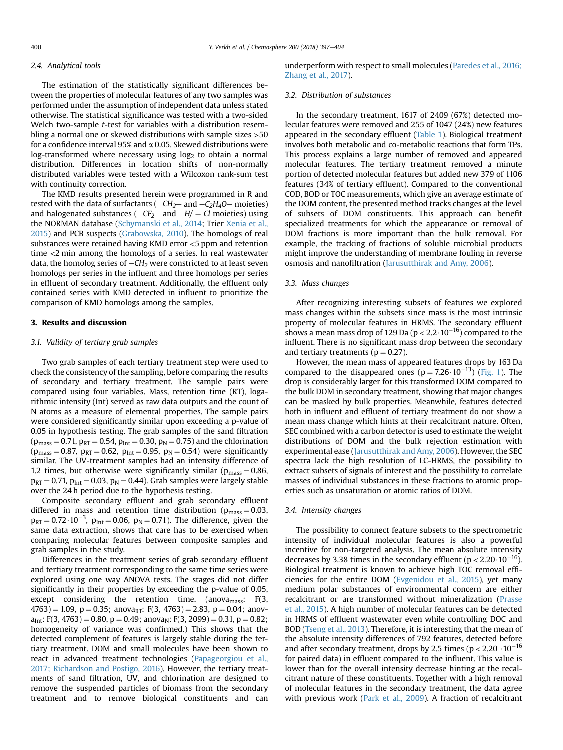## 2.4. Analytical tools

The estimation of the statistically significant differences between the properties of molecular features of any two samples was performed under the assumption of independent data unless stated otherwise. The statistical significance was tested with a two-sided Welch two-sample t-test for variables with a distribution resembling a normal one or skewed distributions with sample sizes >50 for a confidence interval 95% and  $\alpha$  0.05. Skewed distributions were  $log$ -transformed where necessary using  $log<sub>2</sub>$  to obtain a normal distribution. Differences in location shifts of non-normally distributed variables were tested with a Wilcoxon rank-sum test with continuity correction.

The KMD results presented herein were programmed in R and tested with the data of surfactants  $(-CH<sub>2</sub>-$  and  $-C<sub>2</sub>H<sub>4</sub>O-$  moieties) and halogenated substances ( $-CF_2$ – and  $-H$ / + Cl moieties) using the NORMAN database [\(Schymanski et al., 2014;](#page-7-0) Trier [Xenia et al.,](#page-7-0) [2015](#page-7-0)) and PCB suspects [\(Grabowska, 2010\)](#page-6-0). The homologs of real substances were retained having KMD error <5 ppm and retention time <2 min among the homologs of a series. In real wastewater data, the homolog series of  $-CH<sub>2</sub>$  were constricted to at least seven homologs per series in the influent and three homologs per series in effluent of secondary treatment. Additionally, the effluent only contained series with KMD detected in influent to prioritize the comparison of KMD homologs among the samples.

# 3. Results and discussion

#### 3.1. Validity of tertiary grab samples

Two grab samples of each tertiary treatment step were used to check the consistency of the sampling, before comparing the results of secondary and tertiary treatment. The sample pairs were compared using four variables. Mass, retention time (RT), logarithmic intensity (Int) served as raw data outputs and the count of N atoms as a measure of elemental properties. The sample pairs were considered significantly similar upon exceeding a p-value of 0.05 in hypothesis testing. The grab samples of the sand filtration  $(p_{mass} = 0.71, p_{RT} = 0.54, p_{Int} = 0.30, p_N = 0.75)$  and the chlorination  $(p_{\text{mass}} = 0.87, p_{\text{RT}} = 0.62, p_{\text{Int}} = 0.95, p_{\text{N}} = 0.54)$  were significantly similar. The UV-treatment samples had an intensity difference of 1.2 times, but otherwise were significantly similar ( $p_{mass} = 0.86$ ,  $p_{RT} = 0.71$ ,  $p_{Int} = 0.03$ ,  $p_N = 0.44$ ). Grab samples were largely stable over the 24 h period due to the hypothesis testing.

Composite secondary effluent and grab secondary effluent differed in mass and retention time distribution ( $p_{mass} = 0.03$ ,  $p_{RT} = 0.72 \cdot 10^{-3}$ ,  $p_{Int} = 0.06$ ,  $p_N = 0.71$ ). The difference, given the same data extraction, shows that care has to be exercised when comparing molecular features between composite samples and grab samples in the study.

Differences in the treatment series of grab secondary effluent and tertiary treatment corresponding to the same time series were explored using one way ANOVA tests. The stages did not differ significantly in their properties by exceeding the p-value of 0.05, except considering the retention time. (anova<sub>mass</sub>:  $F(3, 1)$  $(4763) = 1.09$ , p = 0.35; anova<sub>RT</sub>: F(3, 4763) = 2.83, p = 0.04; anov $a_{\text{Int}}$ : F(3, 4763) = 0.80, p = 0.49; anova<sub>N</sub>: F(3, 2099) = 0.31, p = 0.82; homogeneity of variance was confirmed.) This shows that the detected complement of features is largely stable during the tertiary treatment. DOM and small molecules have been shown to react in advanced treatment technologies ([Papageorgiou et al.,](#page-7-0) [2017; Richardson and Postigo, 2016\)](#page-7-0). However, the tertiary treatments of sand filtration, UV, and chlorination are designed to remove the suspended particles of biomass from the secondary treatment and to remove biological constituents and can underperform with respect to small molecules [\(Paredes et al., 2016;](#page-7-0) [Zhang et al., 2017](#page-7-0)).

## 3.2. Distribution of substances

In the secondary treatment, 1617 of 2409 (67%) detected molecular features were removed and 255 of 1047 (24%) new features appeared in the secondary effluent ([Table 1](#page-4-0)). Biological treatment involves both metabolic and co-metabolic reactions that form TPs. This process explains a large number of removed and appeared molecular features. The tertiary treatment removed a minute portion of detected molecular features but added new 379 of 1106 features (34% of tertiary effluent). Compared to the conventional COD, BOD or TOC measurements, which give an average estimate of the DOM content, the presented method tracks changes at the level of subsets of DOM constituents. This approach can benefit specialized treatments for which the appearance or removal of DOM fractions is more important than the bulk removal. For example, the tracking of fractions of soluble microbial products might improve the understanding of membrane fouling in reverse osmosis and nanofiltration ([Jarusutthirak and Amy, 2006](#page-6-0)).

#### 3.3. Mass changes

After recognizing interesting subsets of features we explored mass changes within the subsets since mass is the most intrinsic property of molecular features in HRMS. The secondary effluent shows a mean mass drop of 129 Da ( $p < 2.2 \cdot 10^{-16}$ ) compared to the influent. There is no significant mass drop between the secondary and tertiary treatments ( $p = 0.27$ ).

However, the mean mass of appeared features drops by 163 Da compared to the disappeared ones  $(p = 7.26 \cdot 10^{-13})$  [\(Fig. 1](#page-4-0)). The drop is considerably larger for this transformed DOM compared to the bulk DOM in secondary treatment, showing that major changes can be masked by bulk properties. Meanwhile, features detected both in influent and effluent of tertiary treatment do not show a mean mass change which hints at their recalcitrant nature. Often, SEC combined with a carbon detector is used to estimate the weight distributions of DOM and the bulk rejection estimation with experimental ease ([Jarusutthirak and Amy, 2006](#page-6-0)). However, the SEC spectra lack the high resolution of LC-HRMS, the possibility to extract subsets of signals of interest and the possibility to correlate masses of individual substances in these fractions to atomic properties such as unsaturation or atomic ratios of DOM.

#### 3.4. Intensity changes

The possibility to connect feature subsets to the spectrometric intensity of individual molecular features is also a powerful incentive for non-targeted analysis. The mean absolute intensity decreases by 3.38 times in the secondary effluent ( $p < 2.20 \cdot 10^{-16}$ ). Biological treatment is known to achieve high TOC removal efficiencies for the entire DOM ([Evgenidou et al., 2015](#page-6-0)), yet many medium polar substances of environmental concern are either recalcitrant or are transformed without mineralization [\(Prasse](#page-7-0) [et al., 2015\)](#page-7-0). A high number of molecular features can be detected in HRMS of effluent wastewater even while controlling DOC and BOD [\(Tseng et al., 2013](#page-7-0)). Therefore, it is interesting that the mean of the absolute intensity differences of 792 features, detected before and after secondary treatment, drops by 2.5 times ( $p < 2.20 \cdot 10^{-16}$ for paired data) in effluent compared to the influent. This value is lower than for the overall intensity decrease hinting at the recalcitrant nature of these constituents. Together with a high removal of molecular features in the secondary treatment, the data agree with previous work ([Park et al., 2009](#page-7-0)). A fraction of recalcitrant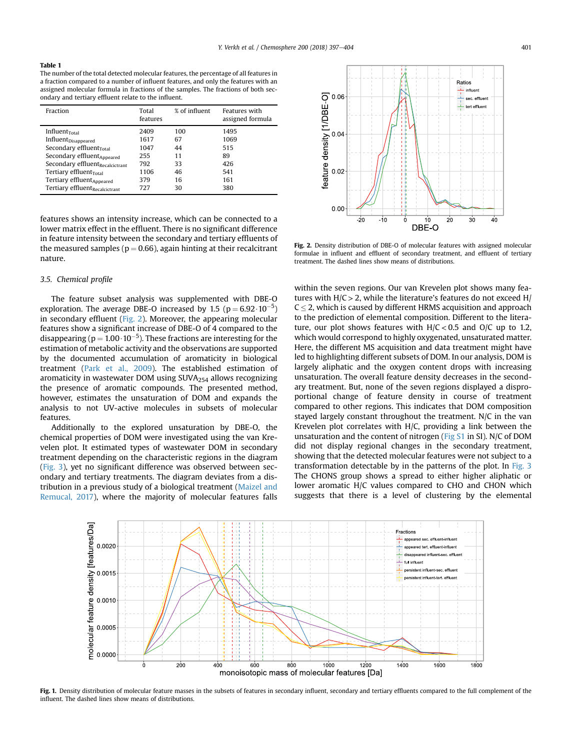<span id="page-4-0"></span>The number of the total detected molecular features, the percentage of all features in a fraction compared to a number of influent features, and only the features with an assigned molecular formula in fractions of the samples. The fractions of both secondary and tertiary effluent relate to the influent.

| Fraction                               | Total<br>features | % of influent | Features with<br>assigned formula |
|----------------------------------------|-------------------|---------------|-----------------------------------|
| Influent $_{\text{Total}}$             | 2409              | 100           | 1495                              |
| Influent <sub>Disappeared</sub>        | 1617              | 67            | 1069                              |
| Secondary effluent $_{\text{Total}}$   | 1047              | 44            | 515                               |
| Secondary effluent <sub>Appeared</sub> | 255               | 11            | 89                                |
| Secondary effluentRecalcictrant        | 792               | 33            | 426                               |
| Tertiary effluent <sub>Total</sub>     | 1106              | 46            | 541                               |
| Tertiary effluent <sub>Appeared</sub>  | 379               | 16            | 161                               |
| Tertiary effluentRecalcictrant         | 727               | 30            | 380                               |

features shows an intensity increase, which can be connected to a lower matrix effect in the effluent. There is no significant difference in feature intensity between the secondary and tertiary effluents of the measured samples ( $p = 0.66$ ), again hinting at their recalcitrant nature.

#### 3.5. Chemical profile

The feature subset analysis was supplemented with DBE-O exploration. The average DBE-O increased by 1.5  $(p = 6.92 \cdot 10^{-5})$ in secondary effluent (Fig. 2). Moreover, the appearing molecular features show a significant increase of DBE-O of 4 compared to the disappearing ( $p = 1.00 \cdot 10^{-5}$ ). These fractions are interesting for the estimation of metabolic activity and the observations are supported by the documented accumulation of aromaticity in biological treatment [\(Park et al., 2009\)](#page-7-0). The established estimation of aromaticity in wastewater DOM using  $SUVA_{254}$  allows recognizing the presence of aromatic compounds. The presented method, however, estimates the unsaturation of DOM and expands the analysis to not UV-active molecules in subsets of molecular features.

Additionally to the explored unsaturation by DBE-O, the chemical properties of DOM were investigated using the van Krevelen plot. It estimated types of wastewater DOM in secondary treatment depending on the characteristic regions in the diagram ([Fig. 3\)](#page-5-0), yet no significant difference was observed between secondary and tertiary treatments. The diagram deviates from a distribution in a previous study of a biological treatment ([Maizel and](#page-7-0) [Remucal, 2017\)](#page-7-0), where the majority of molecular features falls



Fig. 2. Density distribution of DBE-O of molecular features with assigned molecular formulae in influent and effluent of secondary treatment, and effluent of tertiary treatment. The dashed lines show means of distributions.

within the seven regions. Our van Krevelen plot shows many features with  $H/C > 2$ , while the literature's features do not exceed  $H/$  $C < 2$ , which is caused by different HRMS acquisition and approach to the prediction of elemental composition. Different to the literature, our plot shows features with  $H/C < 0.5$  and  $O/C$  up to 1.2, which would correspond to highly oxygenated, unsaturated matter. Here, the different MS acquisition and data treatment might have led to highlighting different subsets of DOM. In our analysis, DOM is largely aliphatic and the oxygen content drops with increasing unsaturation. The overall feature density decreases in the secondary treatment. But, none of the seven regions displayed a disproportional change of feature density in course of treatment compared to other regions. This indicates that DOM composition stayed largely constant throughout the treatment. N/C in the van Krevelen plot correlates with H/C, providing a link between the unsaturation and the content of nitrogen (Fig S1 in SI). N/C of DOM did not display regional changes in the secondary treatment, showing that the detected molecular features were not subject to a transformation detectable by in the patterns of the plot. In [Fig. 3](#page-5-0) The CHONS group shows a spread to either higher aliphatic or lower aromatic H/C values compared to CHO and CHON which suggests that there is a level of clustering by the elemental



Fig. 1. Density distribution of molecular feature masses in the subsets of features in secondary influent, secondary and tertiary effluents compared to the full complement of the influent. The dashed lines show means of distributions.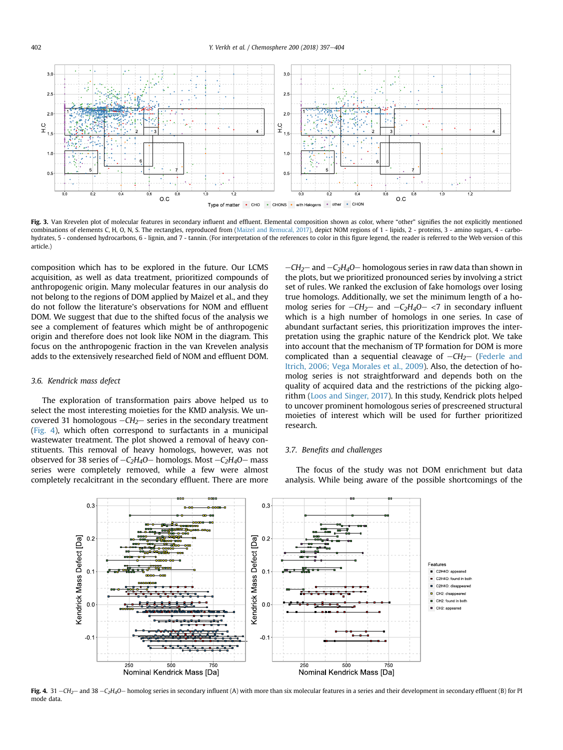<span id="page-5-0"></span>

Fig. 3. Van Krevelen plot of molecular features in secondary influent and effluent. Elemental composition shown as color, where "other" signifies the not explicitly mentioned combinations of elements C, H, O, N, S. The rectangles, reproduced from [\(Maizel and Remucal, 2017](#page-7-0)), depict NOM regions of 1 - lipids, 2 - proteins, 3 - amino sugars, 4 - carbohydrates, 5 - condensed hydrocarbons, 6 - lignin, and 7 - tannin. (For interpretation of the references to color in this figure legend, the reader is referred to the Web version of this article.)

composition which has to be explored in the future. Our LCMS acquisition, as well as data treatment, prioritized compounds of anthropogenic origin. Many molecular features in our analysis do not belong to the regions of DOM applied by Maizel et al., and they do not follow the literature's observations for NOM and effluent DOM. We suggest that due to the shifted focus of the analysis we see a complement of features which might be of anthropogenic origin and therefore does not look like NOM in the diagram. This focus on the anthropogenic fraction in the van Krevelen analysis adds to the extensively researched field of NOM and effluent DOM.

#### 3.6. Kendrick mass defect

The exploration of transformation pairs above helped us to select the most interesting moieties for the KMD analysis. We uncovered 31 homologous  $-CH_2$  series in the secondary treatment (Fig. 4), which often correspond to surfactants in a municipal wastewater treatment. The plot showed a removal of heavy constituents. This removal of heavy homologs, however, was not observed for 38 series of  $-C_2H_4O$  homologs. Most  $-C_2H_4O$  mass series were completely removed, while a few were almost completely recalcitrant in the secondary effluent. There are more

 $-CH_2$  and  $-C_2H_4O$  homologous series in raw data than shown in the plots, but we prioritized pronounced series by involving a strict set of rules. We ranked the exclusion of fake homologs over losing true homologs. Additionally, we set the minimum length of a homolog series for  $-CH_2$  and  $-C_2H_4O - \langle 7 \rangle$  in secondary influent which is a high number of homologs in one series. In case of abundant surfactant series, this prioritization improves the interpretation using the graphic nature of the Kendrick plot. We take into account that the mechanism of TP formation for DOM is more complicated than a sequential cleavage of  $-CH_2$ - ([Federle and](#page-6-0) [Itrich, 2006; Vega Morales et al., 2009](#page-6-0)). Also, the detection of homolog series is not straightforward and depends both on the quality of acquired data and the restrictions of the picking algorithm ([Loos and Singer, 2017\)](#page-7-0). In this study, Kendrick plots helped to uncover prominent homologous series of prescreened structural moieties of interest which will be used for further prioritized research.

#### 3.7. Benefits and challenges

The focus of the study was not DOM enrichment but data analysis. While being aware of the possible shortcomings of the



Fig. 4. 31  $-CH_2$  and 38  $-C_2H_4O$  homolog series in secondary influent (A) with more than six molecular features in a series and their development in secondary effluent (B) for PI mode data.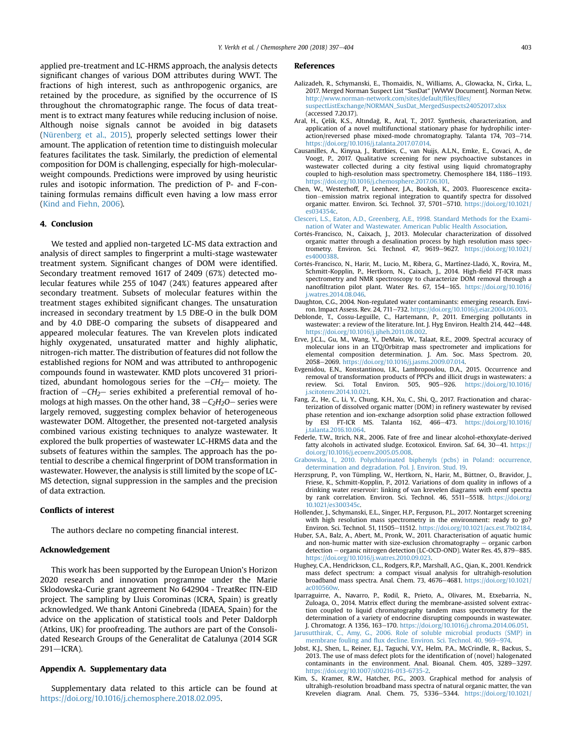<span id="page-6-0"></span>applied pre-treatment and LC-HRMS approach, the analysis detects significant changes of various DOM attributes during WWT. The fractions of high interest, such as anthropogenic organics, are retained by the procedure, as signified by the occurrence of IS throughout the chromatographic range. The focus of data treatment is to extract many features while reducing inclusion of noise. Although noise signals cannot be avoided in big datasets ([Nürenberg et al., 2015\)](#page-7-0), properly selected settings lower their amount. The application of retention time to distinguish molecular features facilitates the task. Similarly, the prediction of elemental composition for DOM is challenging, especially for high-molecularweight compounds. Predictions were improved by using heuristic rules and isotopic information. The prediction of P- and F-containing formulas remains difficult even having a low mass error ([Kind and Fiehn, 2006\)](#page-7-0).

#### 4. Conclusion

We tested and applied non-targeted LC-MS data extraction and analysis of direct samples to fingerprint a multi-stage wastewater treatment system. Significant changes of DOM were identified. Secondary treatment removed 1617 of 2409 (67%) detected molecular features while 255 of 1047 (24%) features appeared after secondary treatment. Subsets of molecular features within the treatment stages exhibited significant changes. The unsaturation increased in secondary treatment by 1.5 DBE-O in the bulk DOM and by 4.0 DBE-O comparing the subsets of disappeared and appeared molecular features. The van Krevelen plots indicated highly oxygenated, unsaturated matter and highly aliphatic, nitrogen-rich matter. The distribution of features did not follow the established regions for NOM and was attributed to anthropogenic compounds found in wastewater. KMD plots uncovered 31 prioritized, abundant homologous series for the  $-CH_2$ - moiety. The fraction of  $-CH_2$ - series exhibited a preferential removal of homologs at high masses. On the other hand,  $38 - C<sub>2</sub>H<sub>2</sub>O$  series were largely removed, suggesting complex behavior of heterogeneous wastewater DOM. Altogether, the presented not-targeted analysis combined various existing techniques to analyze wastewater. It explored the bulk properties of wastewater LC-HRMS data and the subsets of features within the samples. The approach has the potential to describe a chemical fingerprint of DOM transformation in wastewater. However, the analysis is still limited by the scope of LC-MS detection, signal suppression in the samples and the precision of data extraction.

## Conflicts of interest

The authors declare no competing financial interest.

## Acknowledgement

This work has been supported by the European Union's Horizon 2020 research and innovation programme under the Marie Sklodowska-Curie grant agreement No 642904 - TreatRec ITN-EID project. The sampling by Lluis Corominas (ICRA, Spain) is greatly acknowledged. We thank Antoni Ginebreda (IDAEA, Spain) for the advice on the application of statistical tools and Peter Daldorph (Atkins, UK) for proofreading. The authors are part of the Consolidated Research Groups of the Generalitat de Catalunya (2014 SGR  $291$ -ICRA).

## Appendix A. Supplementary data

Supplementary data related to this article can be found at <https://doi.org/10.1016/j.chemosphere.2018.02.095>.

#### References

- Aalizadeh, R., Schymanski, E., Thomaidis, N., Williams, A., Glowacka, N., Cirka, L., 2017. Merged Norman Suspect List "SusDat" [WWW Document]. Norman Netw. [http://www.norman-network.com/sites/default/](http://www.norman-network.com/sites/default/files/files/suspectListExchange/NORMAN_SusDat_MergedSuspects24052017.xlsx)files/files/ [suspectListExchange/NORMAN\\_SusDat\\_MergedSuspects24052017.xlsx](http://www.norman-network.com/sites/default/files/files/suspectListExchange/NORMAN_SusDat_MergedSuspects24052017.xlsx) (accessed 7.20.17).
- Aral, H., Çelik, K.S., Altındag, R., Aral, T., 2017. Synthesis, characterization, and application of a novel multifunctional stationary phase for hydrophilic inter $action/reversed$  phase mixed-mode chromatography. Talanta 174, 703-714. [https://doi.org/10.1016/j.talanta.2017.07.014.](https://doi.org/10.1016/j.talanta.2017.07.014)
- Causanilles, A., Kinyua, J., Ruttkies, C., van Nuijs, A.L.N., Emke, E., Covaci, A., de Voogt, P., 2017. Qualitative screening for new psychoactive substances in wastewater collected during a city festival using liquid chromatography coupled to high-resolution mass spectrometry. Chemosphere 184, 1186-1193. [https://doi.org/10.1016/j.chemosphere.2017.06.101.](https://doi.org/10.1016/j.chemosphere.2017.06.101)
- Chen, W., Westerhoff, P., Leenheer, J.A., Booksh, K., 2003. Fluorescence excitation-emission matrix regional integration to quantify spectra for dissolved organic matter. Environ. Sci. Technol. 37, 5701-5710. [https://doi.org/10.1021/](https://doi.org/10.1021/es034354c) [es034354c.](https://doi.org/10.1021/es034354c)
- [Clesceri, L.S., Eaton, A.D., Greenberg, A.E., 1998. Standard Methods for the Exami](http://refhub.elsevier.com/S0045-6535(18)30304-7/sref5)[nation of Water and Wastewater. American Public Health Association](http://refhub.elsevier.com/S0045-6535(18)30304-7/sref5).
- Cortés-Francisco, N., Caixach, J., 2013. Molecular characterization of dissolved organic matter through a desalination process by high resolution mass spectrometry. Environ. Sci. Technol. 47, 9619-9627. [https://doi.org/10.1021/](https://doi.org/10.1021/es4000388) [es4000388.](https://doi.org/10.1021/es4000388)
- Cortés-Francisco, N., Harir, M., Lucio, M., Ribera, G., Martínez-Lladó, X., Rovira, M., Schmitt-Kopplin, P., Hertkorn, N., Caixach, J., 2014. High-field FT-ICR mass spectrometry and NMR spectroscopy to characterize DOM removal through a nanofiltration pilot plant. Water Res. 67, 154-165. [https://doi.org/10.1016/](https://doi.org/10.1016/j.watres.2014.08.046) [j.watres.2014.08.046](https://doi.org/10.1016/j.watres.2014.08.046).
- Daughton, C.G., 2004. Non-regulated water contaminants: emerging research. Environ. Impact Assess. Rev. 24, 711-732. [https://doi.org/10.1016/j.eiar.2004.06.003.](https://doi.org/10.1016/j.eiar.2004.06.003)
- Deblonde, T., Cossu-Leguille, C., Hartemann, P., 2011. Emerging pollutants in wastewater: a review of the literature. Int. J. Hyg Environ. Health 214, 442-448. <https://doi.org/10.1016/j.ijheh.2011.08.002>.
- Erve, J.C.L., Gu, M., Wang, Y., DeMaio, W., Talaat, R.E., 2009. Spectral accuracy of molecular ions in an LTQ/Orbitrap mass spectrometer and implications for elemental composition determination. J. Am. Soc. Mass Spectrom. 20,<br>2058–2069.[https://doi.org/10.1016/j.jasms.2009.07.014.](https://doi.org/10.1016/j.jasms.2009.07.014)
- Evgenidou, E.N., Konstantinou, I.K., Lambropoulou, D.A., 2015. Occurrence and removal of transformation products of PPCPs and illicit drugs in wastewaters: a review. Sci. Total Environ. 505, 905-926. [https://doi.org/10.1016/](https://doi.org/10.1016/j.scitotenv.2014.10.021) [j.scitotenv.2014.10.021.](https://doi.org/10.1016/j.scitotenv.2014.10.021)
- Fang, Z., He, C., Li, Y., Chung, K.H., Xu, C., Shi, Q., 2017. Fractionation and characterization of dissolved organic matter (DOM) in refinery wastewater by revised phase retention and ion-exchange adsorption solid phase extraction followed by ESI FT-ICR MS. Talanta 162, 466-473. [https://doi.org/10.1016/](https://doi.org/10.1016/j.talanta.2016.10.064) [j.talanta.2016.10.064](https://doi.org/10.1016/j.talanta.2016.10.064).
- Federle, T.W., Itrich, N.R., 2006. Fate of free and linear alcohol-ethoxylate-derived fatty alcohols in activated sludge. Ecotoxicol. Environ. Saf. 64,  $30-41$ . [https://](https://doi.org/10.1016/j.ecoenv.2005.05.008) [doi.org/10.1016/j.ecoenv.2005.05.008](https://doi.org/10.1016/j.ecoenv.2005.05.008).
- [Grabowska, I., 2010. Polychlorinated biphenyls \(pcbs\) in Poland: occurrence,](http://refhub.elsevier.com/S0045-6535(18)30304-7/sref14) [determination and degradation. Pol. J. Environ. Stud. 19.](http://refhub.elsevier.com/S0045-6535(18)30304-7/sref14)
- Herzsprung, P., von Tümpling, W., Hertkorn, N., Harir, M., Büttner, O., Bravidor, J., Friese, K., Schmitt-Kopplin, P., 2012. Variations of dom quality in inflows of a drinking water reservoir: linking of van krevelen diagrams with eemf spectra by rank correlation. Environ. Sci. Technol. 46, 5511-5518. [https://doi.org/](https://doi.org/10.1021/es300345c) [10.1021/es300345c.](https://doi.org/10.1021/es300345c)
- Hollender, J., Schymanski, E.L., Singer, H.P., Ferguson, P.L., 2017. Nontarget screening with high resolution mass spectrometry in the environment: ready to go? Environ. Sci. Technol. 51, 11505-11512. <https://doi.org/10.1021/acs.est.7b02184>.
- Huber, S.A., Balz, A., Abert, M., Pronk, W., 2011. Characterisation of aquatic humic and non-humic matter with size-exclusion chromatography  $-$  organic carbon detection  $-$  organic nitrogen detection (LC-OCD-OND). Water Res.  $45,879-885$ . [https://doi.org/10.1016/j.watres.2010.09.023.](https://doi.org/10.1016/j.watres.2010.09.023)
- Hughey, C.A., Hendrickson, C.L., Rodgers, R.P., Marshall, A.G., Qian, K., 2001. Kendrick mass defect spectrum: a compact visual analysis for ultrahigh-resolution broadband mass spectra. Anal. Chem. 73, 4676-4681. [https://doi.org/10.1021/](https://doi.org/10.1021/ac010560w) [ac010560w.](https://doi.org/10.1021/ac010560w)
- Iparraguirre, A., Navarro, P., Rodil, R., Prieto, A., Olivares, M., Etxebarria, N., Zuloaga, O., 2014. Matrix effect during the membrane-assisted solvent extraction coupled to liquid chromatography tandem mass spectrometry for the determination of a variety of endocrine disrupting compounds in wastewater. J. Chromatogr. A 1356, 163-170. [https://doi.org/10.1016/j.chroma.2014.06.051.](https://doi.org/10.1016/j.chroma.2014.06.051)
- [Jarusutthirak, C., Amy, G., 2006. Role of soluble microbial products \(SMP\) in](http://refhub.elsevier.com/S0045-6535(18)30304-7/sref20) membrane fouling and fl[ux decline. Environ. Sci. Technol. 40, 969](http://refhub.elsevier.com/S0045-6535(18)30304-7/sref20)-[974](http://refhub.elsevier.com/S0045-6535(18)30304-7/sref20).
- Jobst, K.J., Shen, L., Reiner, E.J., Taguchi, V.Y., Helm, P.A., McCrindle, R., Backus, S., 2013. The use of mass defect plots for the identification of (novel) halogenated contaminants in the environment. Anal. Bioanal. Chem. 405, 3289-3297. [https://doi.org/10.1007/s00216-013-6735-2.](https://doi.org/10.1007/s00216-013-6735-2)
- Kim, S., Kramer, R.W., Hatcher, P.G., 2003. Graphical method for analysis of ultrahigh-resolution broadband mass spectra of natural organic matter, the van Krevelen diagram. Anal. Chem. 75, 5336-5344. [https://doi.org/10.1021/](https://doi.org/10.1021/ac034415p)